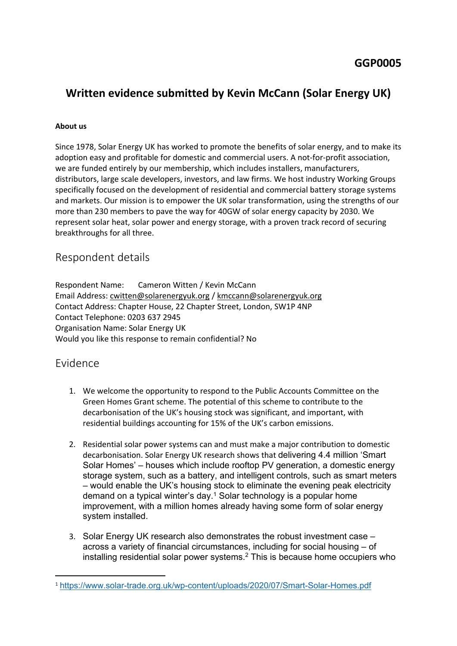# **Written evidence submitted by Kevin McCann (Solar Energy UK)**

#### **About us**

Since 1978, Solar Energy UK has worked to promote the benefits of solar energy, and to make its adoption easy and profitable for domestic and commercial users. A not-for-profit association, we are funded entirely by our membership, which includes installers, manufacturers, distributors, large scale developers, investors, and law firms. We host industry Working Groups specifically focused on the development of residential and commercial battery storage systems and markets. Our mission is to empower the UK solar transformation, using the strengths of our more than 230 members to pave the way for 40GW of solar energy capacity by 2030. We represent solar heat, solar power and energy storage, with a proven track record of securing breakthroughs for all three.

### Respondent details

Respondent Name: Cameron Witten / Kevin McCann Email Address: [cwitten@solarenergyuk.org](mailto:cwitten@solarenergyuk.org) / [kmccann@solarenergyuk.org](mailto:kmccann@solarenergyuk.org) Contact Address: Chapter House, 22 Chapter Street, London, SW1P 4NP Contact Telephone: 0203 637 2945 Organisation Name: Solar Energy UK Would you like this response to remain confidential? No

## Evidence

- 1. We welcome the opportunity to respond to the Public Accounts Committee on the Green Homes Grant scheme. The potential of this scheme to contribute to the decarbonisation of the UK's housing stock was significant, and important, with residential buildings accounting for 15% of the UK's carbon emissions.
- 2. Residential solar power systems can and must make a major contribution to domestic decarbonisation. Solar Energy UK research shows that delivering 4.4 million 'Smart Solar Homes' – houses which include rooftop PV generation, a domestic energy storage system, such as a battery, and intelligent controls, such as smart meters – would enable the UK's housing stock to eliminate the evening peak electricity demand on a typical winter's day.<sup>1</sup> Solar technology is a popular home improvement, with a million homes already having some form of solar energy system installed.
- 3. Solar Energy UK research also demonstrates the robust investment case across a variety of financial circumstances, including for social housing – of installing residential solar power systems.<sup>2</sup> This is because home occupiers who

<sup>1</sup> <https://www.solar-trade.org.uk/wp-content/uploads/2020/07/Smart-Solar-Homes.pdf>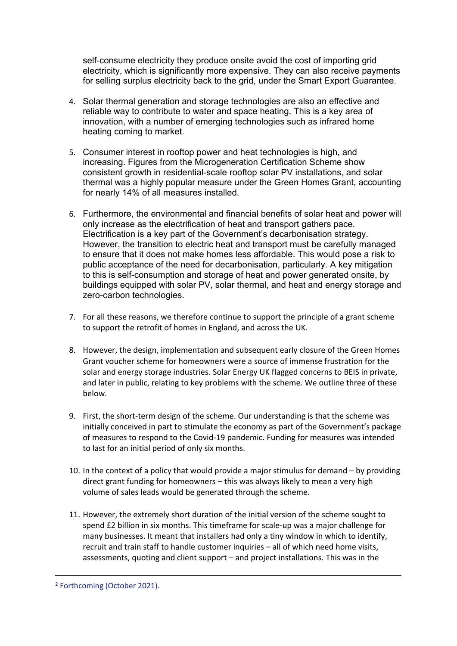self-consume electricity they produce onsite avoid the cost of importing grid electricity, which is significantly more expensive. They can also receive payments for selling surplus electricity back to the grid, under the Smart Export Guarantee.

- 4. Solar thermal generation and storage technologies are also an effective and reliable way to contribute to water and space heating. This is a key area of innovation, with a number of emerging technologies such as infrared home heating coming to market.
- 5. Consumer interest in rooftop power and heat technologies is high, and increasing. Figures from the Microgeneration Certification Scheme show consistent growth in residential-scale rooftop solar PV installations, and solar thermal was a highly popular measure under the Green Homes Grant, accounting for nearly 14% of all measures installed.
- 6. Furthermore, the environmental and financial benefits of solar heat and power will only increase as the electrification of heat and transport gathers pace. Electrification is a key part of the Government's decarbonisation strategy. However, the transition to electric heat and transport must be carefully managed to ensure that it does not make homes less affordable. This would pose a risk to public acceptance of the need for decarbonisation, particularly. A key mitigation to this is self-consumption and storage of heat and power generated onsite, by buildings equipped with solar PV, solar thermal, and heat and energy storage and zero-carbon technologies.
- 7. For all these reasons, we therefore continue to support the principle of a grant scheme to support the retrofit of homes in England, and across the UK.
- 8. However, the design, implementation and subsequent early closure of the Green Homes Grant voucher scheme for homeowners were a source of immense frustration for the solar and energy storage industries. Solar Energy UK flagged concerns to BEIS in private, and later in public, relating to key problems with the scheme. We outline three of these below.
- 9. First, the short-term design of the scheme. Our understanding is that the scheme was initially conceived in part to stimulate the economy as part of the Government's package of measures to respond to the Covid-19 pandemic. Funding for measures was intended to last for an initial period of only six months.
- 10. In the context of a policy that would provide a major stimulus for demand by providing direct grant funding for homeowners – this was always likely to mean a very high volume of sales leads would be generated through the scheme.
- 11. However, the extremely short duration of the initial version of the scheme sought to spend £2 billion in six months. This timeframe for scale-up was a major challenge for many businesses. It meant that installers had only a tiny window in which to identify, recruit and train staff to handle customer inquiries – all of which need home visits, assessments, quoting and client support – and project installations. This was in the

<sup>2</sup> Forthcoming (October 2021).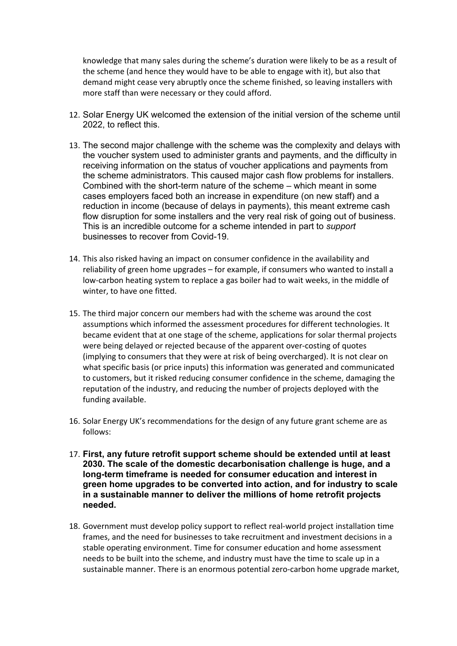knowledge that many sales during the scheme's duration were likely to be as a result of the scheme (and hence they would have to be able to engage with it), but also that demand might cease very abruptly once the scheme finished, so leaving installers with more staff than were necessary or they could afford.

- 12. Solar Energy UK welcomed the extension of the initial version of the scheme until 2022, to reflect this.
- 13. The second major challenge with the scheme was the complexity and delays with the voucher system used to administer grants and payments, and the difficulty in receiving information on the status of voucher applications and payments from the scheme administrators. This caused major cash flow problems for installers. Combined with the short-term nature of the scheme – which meant in some cases employers faced both an increase in expenditure (on new staff) and a reduction in income (because of delays in payments), this meant extreme cash flow disruption for some installers and the very real risk of going out of business. This is an incredible outcome for a scheme intended in part to *support* businesses to recover from Covid-19.
- 14. This also risked having an impact on consumer confidence in the availability and reliability of green home upgrades – for example, if consumers who wanted to install a low-carbon heating system to replace a gas boiler had to wait weeks, in the middle of winter, to have one fitted.
- 15. The third major concern our members had with the scheme was around the cost assumptions which informed the assessment procedures for different technologies. It became evident that at one stage of the scheme, applications for solar thermal projects were being delayed or rejected because of the apparent over-costing of quotes (implying to consumers that they were at risk of being overcharged). It is not clear on what specific basis (or price inputs) this information was generated and communicated to customers, but it risked reducing consumer confidence in the scheme, damaging the reputation of the industry, and reducing the number of projects deployed with the funding available.
- 16. Solar Energy UK's recommendations for the design of any future grant scheme are as follows:
- 17. **First, any future retrofit support scheme should be extended until at least 2030. The scale of the domestic decarbonisation challenge is huge, and a long-term timeframe is needed for consumer education and interest in green home upgrades to be converted into action, and for industry to scale in a sustainable manner to deliver the millions of home retrofit projects needed.**
- 18. Government must develop policy support to reflect real-world project installation time frames, and the need for businesses to take recruitment and investment decisions in a stable operating environment. Time for consumer education and home assessment needs to be built into the scheme, and industry must have the time to scale up in a sustainable manner. There is an enormous potential zero-carbon home upgrade market,